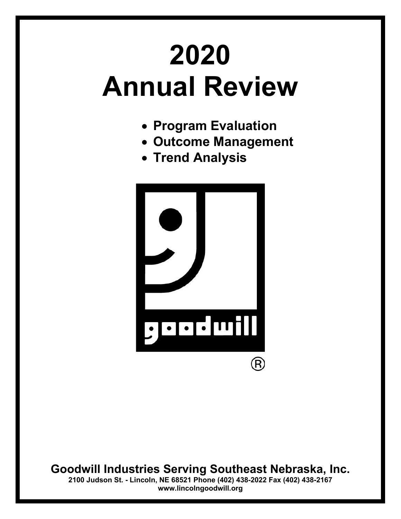# **2020 Annual Review**

- **Program Evaluation**
- **Outcome Management**
- **Trend Analysis**



## **Goodwill Industries Serving Southeast Nebraska, Inc. 2100 Judson St. - Lincoln, NE 68521 Phone (402) 438-2022 Fax (402) 438-2167**

**www.lincolngoodwill.org**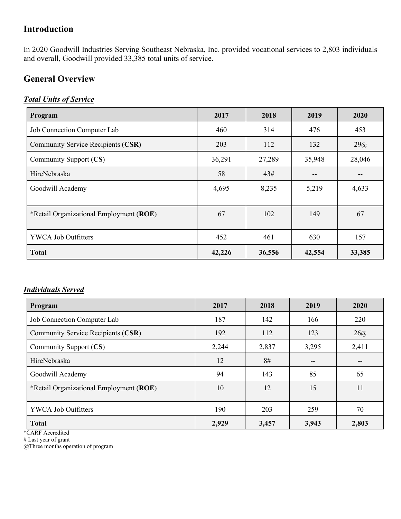## **Introduction**

In 2020 Goodwill Industries Serving Southeast Nebraska, Inc. provided vocational services to 2,803 individuals and overall, Goodwill provided 33,385 total units of service.

## **General Overview**

## *Total Units of Service*

| Program                                 | 2017   | 2018   | 2019   | 2020   |
|-----------------------------------------|--------|--------|--------|--------|
| Job Connection Computer Lab             | 460    | 314    | 476    | 453    |
| Community Service Recipients (CSR)      | 203    | 112    | 132    | 29@    |
| Community Support (CS)                  | 36,291 | 27,289 | 35,948 | 28,046 |
| HireNebraska                            | 58     | 43#    | $- -$  |        |
| Goodwill Academy                        | 4,695  | 8,235  | 5,219  | 4,633  |
| *Retail Organizational Employment (ROE) | 67     | 102    | 149    | 67     |
| <b>YWCA Job Outfitters</b>              | 452    | 461    | 630    | 157    |
| <b>Total</b>                            | 42,226 | 36,556 | 42,554 | 33,385 |

## *Individuals Served*

| Program                                 | 2017  | 2018  | 2019  | 2020       |
|-----------------------------------------|-------|-------|-------|------------|
| Job Connection Computer Lab             | 187   | 142   | 166   | 220        |
| Community Service Recipients (CSR)      | 192   | 112   | 123   | $26\omega$ |
| Community Support (CS)                  | 2,244 | 2,837 | 3,295 | 2,411      |
| HireNebraska                            | 12    | 8#    |       |            |
| Goodwill Academy                        | 94    | 143   | 85    | 65         |
| *Retail Organizational Employment (ROE) | 10    | 12    | 15    | 11         |
|                                         |       |       |       |            |
| <b>YWCA Job Outfitters</b>              | 190   | 203   | 259   | 70         |
| <b>Total</b>                            | 2,929 | 3,457 | 3,943 | 2,803      |

\*CARF Accredited

# Last year of grant

@Three months operation of program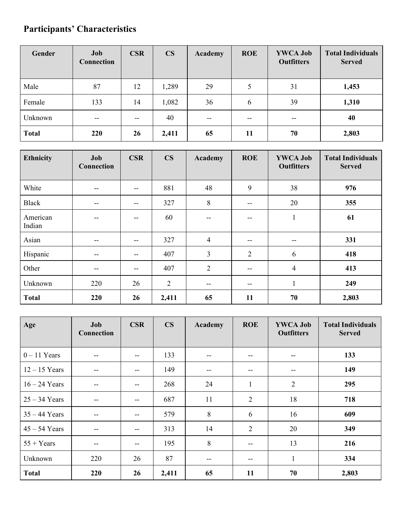# **Participants' Characteristics**

| Gender       | Job<br>Connection        | <b>CSR</b> | <b>CS</b> | Academy | <b>ROE</b> | <b>YWCA Job</b><br><b>Outfitters</b> | <b>Total Individuals</b><br><b>Served</b> |
|--------------|--------------------------|------------|-----------|---------|------------|--------------------------------------|-------------------------------------------|
| Male         | 87                       | 12         | 1,289     | 29      |            | 31                                   | 1,453                                     |
| Female       | 133                      | 14         | 1,082     | 36      | 6          | 39                                   | 1,310                                     |
| Unknown      | $\overline{\phantom{m}}$ | $- -$      | 40        | $-$     | --         | $\overline{\phantom{m}}$             | 40                                        |
| <b>Total</b> | 220                      | 26         | 2,411     | 65      | 11         | 70                                   | 2,803                                     |

| <b>Ethnicity</b>   | Job<br><b>Connection</b> | <b>CSR</b> | $\overline{\text{CS}}$ | Academy        | <b>ROE</b>     | <b>YWCA Job</b><br><b>Outfitters</b> | <b>Total Individuals</b><br><b>Served</b> |
|--------------------|--------------------------|------------|------------------------|----------------|----------------|--------------------------------------|-------------------------------------------|
| White              | --                       | --         | 881                    | 48             | 9              | 38                                   | 976                                       |
| <b>Black</b>       | --                       | $- -$      | 327                    | 8              | --             | 20                                   | 355                                       |
| American<br>Indian |                          | --         | 60                     |                | --             | 1<br>-1                              | 61                                        |
| Asian              | --                       | $- -$      | 327                    | $\overline{4}$ | --             | $- -$                                | 331                                       |
| Hispanic           | --                       | --         | 407                    | 3              | $\overline{2}$ | 6                                    | 418                                       |
| Other              | --                       | --         | 407                    | $\overline{2}$ | --             | $\overline{4}$                       | 413                                       |
| Unknown            | 220                      | 26         | 2                      | --             | --             | 1                                    | 249                                       |
| <b>Total</b>       | 220                      | 26         | 2,411                  | 65             | 11             | 70                                   | 2,803                                     |

| Age             | Job<br>Connection | <b>CSR</b> | $\mathbf{CS}$ | Academy | <b>ROE</b>     | <b>YWCA Job</b><br><b>Outfitters</b> | <b>Total Individuals</b><br><b>Served</b> |
|-----------------|-------------------|------------|---------------|---------|----------------|--------------------------------------|-------------------------------------------|
| $0 - 11$ Years  | --                | --         | 133           |         | --             | $\qquad \qquad -$                    | 133                                       |
| $12 - 15$ Years | --                | --         | 149           | --      | --             | $\qquad \qquad -$                    | 149                                       |
| $16 - 24$ Years |                   | --         | 268           | 24      | $\mathbf{1}$   | $\overline{2}$                       | 295                                       |
| $25 - 34$ Years | --                | --         | 687           | 11      | $\overline{2}$ | 18                                   | 718                                       |
| $35 - 44$ Years |                   | --         | 579           | 8       | 6              | 16                                   | 609                                       |
| $45 - 54$ Years | --                | --         | 313           | 14      | $\overline{2}$ | 20                                   | 349                                       |
| $55 + Years$    | --                | --         | 195           | 8       | --             | 13                                   | 216                                       |
| Unknown         | 220               | 26         | 87            | --      | --             | $\mathbf{1}$                         | 334                                       |
| <b>Total</b>    | 220               | 26         | 2,411         | 65      | 11             | 70                                   | 2,803                                     |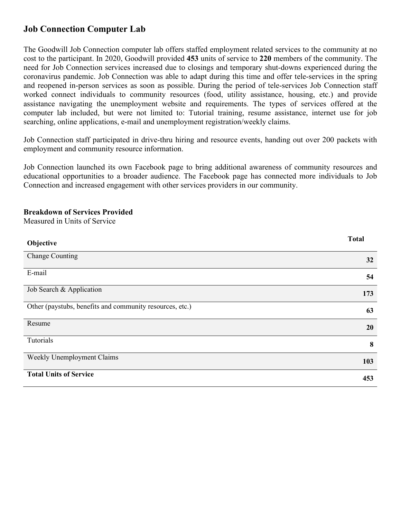## **Job Connection Computer Lab**

The Goodwill Job Connection computer lab offers staffed employment related services to the community at no cost to the participant. In 2020, Goodwill provided **453** units of service to **220** members of the community. The need for Job Connection services increased due to closings and temporary shut-downs experienced during the coronavirus pandemic. Job Connection was able to adapt during this time and offer tele-services in the spring and reopened in-person services as soon as possible. During the period of tele-services Job Connection staff worked connect individuals to community resources (food, utility assistance, housing, etc.) and provide assistance navigating the unemployment website and requirements. The types of services offered at the computer lab included, but were not limited to: Tutorial training, resume assistance, internet use for job searching, online applications, e-mail and unemployment registration/weekly claims.

Job Connection staff participated in drive-thru hiring and resource events, handing out over 200 packets with employment and community resource information.

Job Connection launched its own Facebook page to bring additional awareness of community resources and educational opportunities to a broader audience. The Facebook page has connected more individuals to Job Connection and increased engagement with other services providers in our community.

#### **Breakdown of Services Provided**

Measured in Units of Service

| Objective                                                | <b>Total</b> |
|----------------------------------------------------------|--------------|
| <b>Change Counting</b>                                   | 32           |
| E-mail                                                   | 54           |
| Job Search & Application                                 | 173          |
| Other (paystubs, benefits and community resources, etc.) | 63           |
| Resume                                                   | <b>20</b>    |
| Tutorials                                                | 8            |
| Weekly Unemployment Claims                               | 103          |
| <b>Total Units of Service</b>                            | 453          |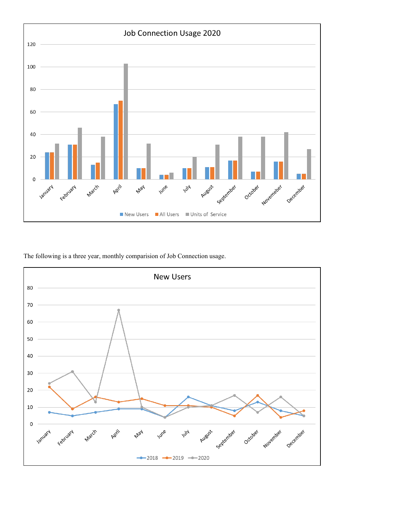

The following is a three year, monthly comparision of Job Connection usage.

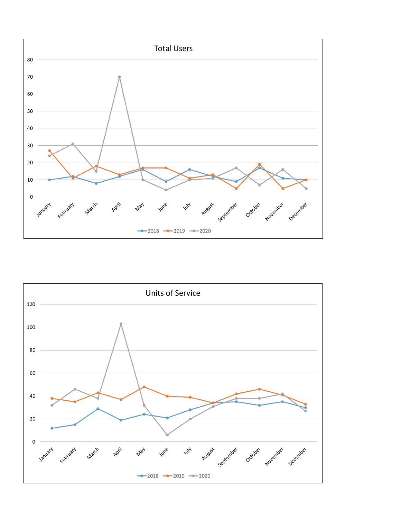

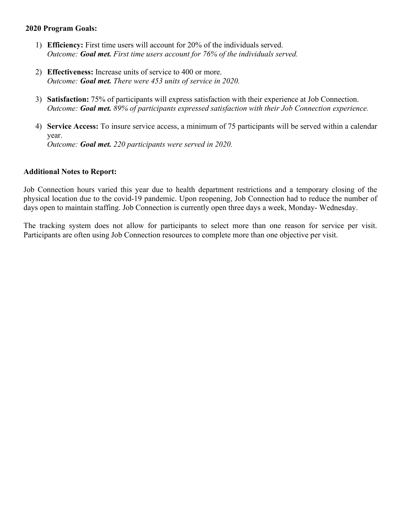### **2020 Program Goals:**

- 1) **Efficiency:** First time users will account for 20% of the individuals served. *Outcome: Goal met. First time users account for 76% of the individuals served.*
- 2) **Effectiveness:** Increase units of service to 400 or more. *Outcome: Goal met. There were 453 units of service in 2020.*
- 3) **Satisfaction:** 75% of participants will express satisfaction with their experience at Job Connection. *Outcome: Goal met. 89% of participants expressed satisfaction with their Job Connection experience.*
- 4) **Service Access:** To insure service access, a minimum of 75 participants will be served within a calendar year. *Outcome: Goal met. 220 participants were served in 2020.*

## **Additional Notes to Report:**

Job Connection hours varied this year due to health department restrictions and a temporary closing of the physical location due to the covid-19 pandemic. Upon reopening, Job Connection had to reduce the number of days open to maintain staffing. Job Connection is currently open three days a week, Monday- Wednesday.

The tracking system does not allow for participants to select more than one reason for service per visit. Participants are often using Job Connection resources to complete more than one objective per visit.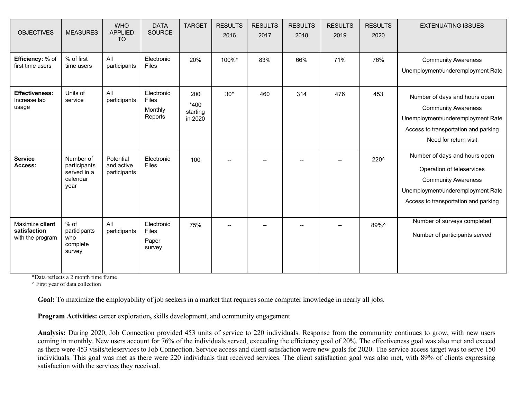| <b>OBJECTIVES</b>                                   | <b>MEASURES</b>                                              | <b>WHO</b><br><b>APPLIED</b><br><b>TO</b> | <b>DATA</b><br><b>SOURCE</b>                     | <b>TARGET</b>                        | <b>RESULTS</b><br>2016 | <b>RESULTS</b><br>2017 | <b>RESULTS</b><br>2018 | <b>RESULTS</b><br>2019 | <b>RESULTS</b><br>2020 | <b>EXTENUATING ISSUES</b>                                                                                                                                             |
|-----------------------------------------------------|--------------------------------------------------------------|-------------------------------------------|--------------------------------------------------|--------------------------------------|------------------------|------------------------|------------------------|------------------------|------------------------|-----------------------------------------------------------------------------------------------------------------------------------------------------------------------|
| Efficiency: % of<br>first time users                | % of first<br>time users                                     | All<br>participants                       | Electronic<br><b>Files</b>                       | 20%                                  | 100%*                  | 83%                    | 66%                    | 71%                    | 76%                    | <b>Community Awareness</b><br>Unemployment/underemployment Rate                                                                                                       |
| <b>Effectiveness:</b><br>Increase lab<br>usage      | Units of<br>service                                          | All<br>participants                       | Electronic<br><b>Files</b><br>Monthly<br>Reports | 200<br>$*400$<br>starting<br>in 2020 | $30*$                  | 460                    | 314                    | 476                    | 453                    | Number of days and hours open<br><b>Community Awareness</b><br>Unemployment/underemployment Rate<br>Access to transportation and parking<br>Need for return visit     |
| <b>Service</b><br>Access:                           | Number of<br>participants<br>served in a<br>calendar<br>year | Potential<br>and active<br>participants   | Electronic<br>Files                              | 100                                  |                        |                        |                        |                        | 220^                   | Number of days and hours open<br>Operation of teleservices<br><b>Community Awareness</b><br>Unemployment/underemployment Rate<br>Access to transportation and parking |
| Maximize client<br>satisfaction<br>with the program | $%$ of<br>participants<br>who<br>complete<br>survey          | All<br>participants                       | Electronic<br><b>Files</b><br>Paper<br>survey    | 75%                                  |                        |                        |                        |                        | 89%^                   | Number of surveys completed<br>Number of participants served                                                                                                          |

\*Data reflects a 2 month time frame

^ First year of data collection

Goal: To maximize the employability of job seekers in a market that requires some computer knowledge in nearly all jobs.

**Program Activities:** career exploration**,** skills development, and community engagement

**Analysis:** During 2020, Job Connection provided 453 units of service to 220 individuals. Response from the community continues to grow, with new users coming in monthly. New users account for 76% of the individuals served, exceeding the efficiency goal of 20%. The effectiveness goal was also met and exceed as there were 453 visits/teleservices to Job Connection. Service access and client satisfaction were new goals for 2020. The service access target was to serve 150 individuals. This goal was met as there were 220 individuals that received services. The client satisfaction goal was also met, with 89% of clients expressing satisfaction with the services they received.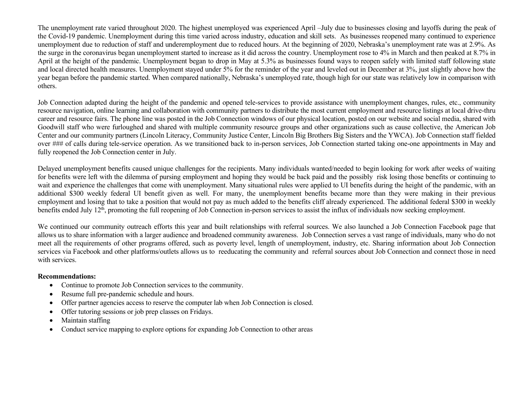The unemployment rate varied throughout 2020. The highest unemployed was experienced April –July due to businesses closing and layoffs during the peak of the Covid-19 pandemic. Unemployment during this time varied across industry, education and skill sets. As businesses reopened many continued to experience unemployment due to reduction of staff and underemployment due to reduced hours. At the beginning of 2020, Nebraska's unemployment rate was at 2.9%. As the surge in the coronavirus began unemployment started to increase as it did across the country. Unemployment rose to 4% in March and then peaked at 8.7% in April at the height of the pandemic. Unemployment began to drop in May at 5.3% as businesses found ways to reopen safely with limited staff following state and local directed health measures. Unemployment stayed under 5% for the reminder of the year and leveled out in December at 3%, just slightly above how the year began before the pandemic started. When compared nationally, Nebraska's unemployed rate, though high for our state was relatively low in comparison with others.

Job Connection adapted during the height of the pandemic and opened tele-services to provide assistance with unemployment changes, rules, etc., community resource navigation, online learning and collaboration with community partners to distribute the most current employment and resource listings at local drive-thru career and resource fairs. The phone line was posted in the Job Connection windows of our physical location, posted on our website and social media, shared with Goodwill staff who were furloughed and shared with multiple community resource groups and other organizations such as cause collective, the American Job Center and our community partners (Lincoln Literacy, Community Justice Center, Lincoln Big Brothers Big Sisters and the YWCA). Job Connection staff fielded over ### of calls during tele-service operation. As we transitioned back to in-person services, Job Connection started taking one-one appointments in May and fully reopened the Job Connection center in July.

Delayed unemployment benefits caused unique challenges for the recipients. Many individuals wanted/needed to begin looking for work after weeks of waiting for benefits were left with the dilemma of pursing employment and hoping they would be back paid and the possibly risk losing those benefits or continuing to wait and experience the challenges that come with unemployment. Many situational rules were applied to UI benefits during the height of the pandemic, with an additional \$300 weekly federal UI benefit given as well. For many, the unemployment benefits became more than they were making in their previous employment and losing that to take a position that would not pay as much added to the benefits cliff already experienced. The additional federal \$300 in weekly benefits ended July 12<sup>th</sup>, promoting the full reopening of Job Connection in-person services to assist the influx of individuals now seeking employment.

We continued our community outreach efforts this year and built relationships with referral sources. We also launched a Job Connection Facebook page that allows us to share information with a larger audience and broadened community awareness. Job Connection serves a vast range of individuals, many who do not meet all the requirements of other programs offered, such as poverty level, length of unemployment, industry, etc. Sharing information about Job Connection services via Facebook and other platforms/outlets allows us to reeducating the community and referral sources about Job Connection and connect those in need with services.

#### **Recommendations:**

- Continue to promote Job Connection services to the community.
- Resume full pre-pandemic schedule and hours.
- Offer partner agencies access to reserve the computer lab when Job Connection is closed.
- Offer tutoring sessions or job prep classes on Fridays.
- Maintain staffing
- Conduct service mapping to explore options for expanding Job Connection to other areas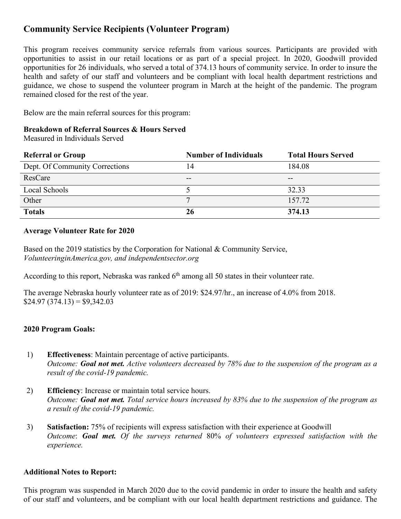## **Community Service Recipients (Volunteer Program)**

This program receives community service referrals from various sources. Participants are provided with opportunities to assist in our retail locations or as part of a special project. In 2020, Goodwill provided opportunities for 26 individuals, who served a total of 374.13 hours of community service. In order to insure the health and safety of our staff and volunteers and be compliant with local health department restrictions and guidance, we chose to suspend the volunteer program in March at the height of the pandemic. The program remained closed for the rest of the year.

Below are the main referral sources for this program:

## **Breakdown of Referral Sources & Hours Served**

Measured in Individuals Served

| <b>Referral or Group</b>       | <b>Number of Individuals</b> | <b>Total Hours Served</b> |
|--------------------------------|------------------------------|---------------------------|
| Dept. Of Community Corrections |                              | 184.08                    |
| ResCare                        | --                           | $- -$                     |
| Local Schools                  |                              | 32.33                     |
| Other                          |                              | 157.72                    |
| <b>Totals</b>                  | 26                           | 374.13                    |

## **Average Volunteer Rate for 2020**

Based on the 2019 statistics by the Corporation for National & Community Service, *VolunteeringinAmerica.gov, and independentsector.org*

According to this report, Nebraska was ranked  $6<sup>th</sup>$  among all 50 states in their volunteer rate.

The average Nebraska hourly volunteer rate as of 2019: \$24.97/hr., an increase of 4.0% from 2018.  $$24.97 (374.13) = $9,342.03$ 

## **2020 Program Goals:**

- 1) **Effectiveness**: Maintain percentage of active participants. *Outcome: Goal not met. Active volunteers decreased by 78% due to the suspension of the program as a result of the covid-19 pandemic.*
- 2) **Efficiency**: Increase or maintain total service hours. *Outcome: Goal not met. Total service hours increased by 83% due to the suspension of the program as a result of the covid-19 pandemic.*
- 3) **Satisfaction:** 75% of recipients will express satisfaction with their experience at Goodwill *Outcome*: *Goal met. Of the surveys returned* 80% *of volunteers expressed satisfaction with the experience.*

## **Additional Notes to Report:**

This program was suspended in March 2020 due to the covid pandemic in order to insure the health and safety of our staff and volunteers, and be compliant with our local health department restrictions and guidance. The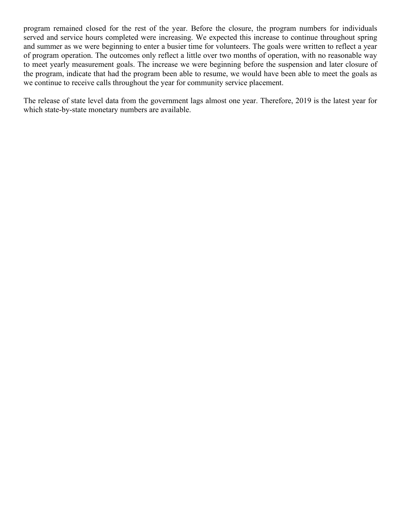program remained closed for the rest of the year. Before the closure, the program numbers for individuals served and service hours completed were increasing. We expected this increase to continue throughout spring and summer as we were beginning to enter a busier time for volunteers. The goals were written to reflect a year of program operation. The outcomes only reflect a little over two months of operation, with no reasonable way to meet yearly measurement goals. The increase we were beginning before the suspension and later closure of the program, indicate that had the program been able to resume, we would have been able to meet the goals as we continue to receive calls throughout the year for community service placement.

The release of state level data from the government lags almost one year. Therefore, 2019 is the latest year for which state-by-state monetary numbers are available.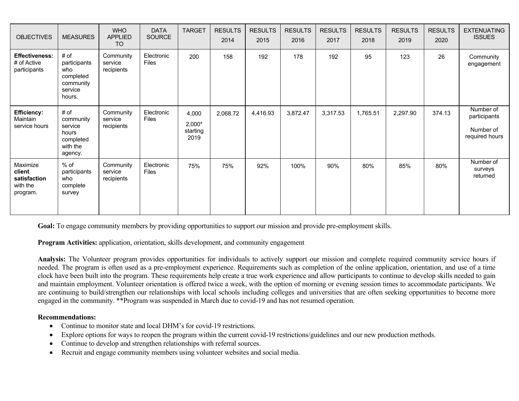| <b>OBJECTIVES</b>                                          | <b>MEASURES</b>                                                            | <b>WHO</b><br><b>APPLIED</b><br>TO | <b>DATA</b><br><b>SOURCE</b> | <b>TARGET</b>                         | <b>RESULTS</b><br>2014 | <b>RESULTS</b><br>2015 | <b>RESULTS</b><br>2016 | <b>RESULTS</b><br>2017 | <b>RESULTS</b><br>2018 | <b>RESULTS</b><br>2019 | <b>RESULTS</b><br>2020 | <b>EXTENUATING</b><br><b>ISSUES</b>                      |
|------------------------------------------------------------|----------------------------------------------------------------------------|------------------------------------|------------------------------|---------------------------------------|------------------------|------------------------|------------------------|------------------------|------------------------|------------------------|------------------------|----------------------------------------------------------|
| <b>Effectiveness:</b><br># of Active<br>participants       | # of<br>participants<br>who<br>completed<br>community<br>service<br>hours. | Community<br>service<br>recipients | Electronic<br>Files          | 200                                   | 158                    | 192                    | 178                    | 192                    | 95                     | 123                    | 26                     | Community<br>engagement                                  |
| <b>Efficiency:</b><br>Maintain<br>service hours            | # of<br>community<br>service<br>hours<br>completed<br>with the<br>agency.  | Community<br>service<br>recipients | Electronic<br><b>Files</b>   | 4,000<br>$2,000*$<br>starting<br>2019 | 2,068.72               | 4,416.93               | 3,872.47               | 3,317.53               | 1,765.51               | 2,297.90               | 374.13                 | Number of<br>participants<br>Number of<br>required hours |
| Maximize<br>client<br>satisfaction<br>with the<br>program. | % of<br>participants<br>who<br>complete<br>survey                          | Community<br>service<br>recipients | Electronic<br><b>Files</b>   | 75%                                   | 75%                    | 92%                    | 100%                   | 90%                    | 80%                    | 85%                    | 80%                    | Number of<br>surveys<br>returned                         |

**Goal:** To engage community members by providing opportunities to support our mission and provide pre-employment skills.

**Program Activities:** application, orientation, skills development, and community engagement

**Analysis:** The Volunteer program provides opportunities for individuals to actively support our mission and complete required community service hours if needed. The program is often used as a pre-employment experience. Requirements such as completion of the online application, orientation, and use of a time clock have been built into the program. These requirements help create a true work experience and allow participants to continue to develop skills needed to gain and maintain employment. Volunteer orientation is offered twice a week, with the option of morning or evening session times to accommodate participants. We are continuing to build/strengthen our relationships with local schools including colleges and universities that are often seeking opportunities to become more engaged in the community. \*\*Program was suspended in March due to covid-19 and has not resumed operation.

#### **Recommendations:**

- Continue to monitor state and local DHM's for covid-19 restrictions.
- Explore options for ways to reopen the program within the current covid-19 restrictions/guidelines and our new production methods.
- Continue to develop and strengthen relationships with referral sources.
- Recruit and engage community members using volunteer websites and social media.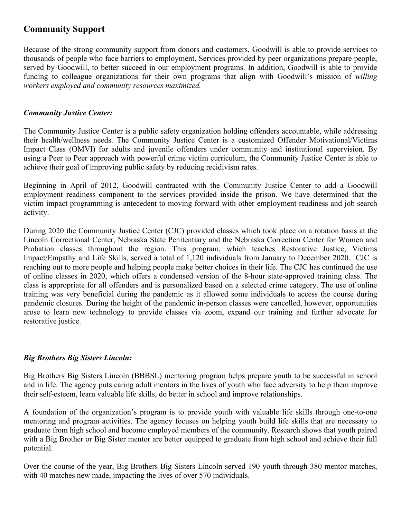## **Community Support**

Because of the strong community support from donors and customers, Goodwill is able to provide services to thousands of people who face barriers to employment. Services provided by peer organizations prepare people, served by Goodwill, to better succeed in our employment programs. In addition, Goodwill is able to provide funding to colleague organizations for their own programs that align with Goodwill's mission of *willing workers employed and community resources maximized.*

## *Community Justice Center:*

The Community Justice Center is a public safety organization holding offenders accountable, while addressing their health/wellness needs. The Community Justice Center is a customized Offender Motivational/Victims Impact Class (OMVI) for adults and juvenile offenders under community and institutional supervision. By using a Peer to Peer approach with powerful crime victim curriculum, the Community Justice Center is able to achieve their goal of improving public safety by reducing recidivism rates.

Beginning in April of 2012, Goodwill contracted with the Community Justice Center to add a Goodwill employment readiness component to the services provided inside the prison. We have determined that the victim impact programming is antecedent to moving forward with other employment readiness and job search activity.

During 2020 the Community Justice Center (CJC) provided classes which took place on a rotation basis at the Lincoln Correctional Center, Nebraska State Penitentiary and the Nebraska Correction Center for Women and Probation classes throughout the region. This program, which teaches Restorative Justice, Victims Impact/Empathy and Life Skills, served a total of 1,120 individuals from January to December 2020. CJC is reaching out to more people and helping people make better choices in their life. The CJC has continued the use of online classes in 2020, which offers a condensed version of the 8-hour state-approved training class. The class is appropriate for all offenders and is personalized based on a selected crime category. The use of online training was very beneficial during the pandemic as it allowed some individuals to access the course during pandemic closures. During the height of the pandemic in-person classes were cancelled, however, opportunities arose to learn new technology to provide classes via zoom, expand our training and further advocate for restorative justice.

## *Big Brothers Big Sisters Lincoln:*

Big Brothers Big Sisters Lincoln (BBBSL) mentoring program helps prepare youth to be successful in school and in life. The agency puts caring adult mentors in the lives of youth who face adversity to help them improve their self-esteem, learn valuable life skills, do better in school and improve relationships.

A foundation of the organization's program is to provide youth with valuable life skills through one-to-one mentoring and program activities. The agency focuses on helping youth build life skills that are necessary to graduate from high school and become employed members of the community. Research shows that youth paired with a Big Brother or Big Sister mentor are better equipped to graduate from high school and achieve their full potential.

Over the course of the year, Big Brothers Big Sisters Lincoln served 190 youth through 380 mentor matches, with 40 matches new made, impacting the lives of over 570 individuals.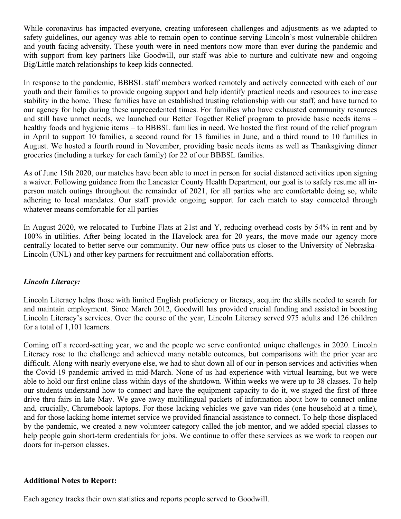While coronavirus has impacted everyone, creating unforeseen challenges and adjustments as we adapted to safety guidelines, our agency was able to remain open to continue serving Lincoln's most vulnerable children and youth facing adversity. These youth were in need mentors now more than ever during the pandemic and with support from key partners like Goodwill, our staff was able to nurture and cultivate new and ongoing Big/Little match relationships to keep kids connected.

In response to the pandemic, BBBSL staff members worked remotely and actively connected with each of our youth and their families to provide ongoing support and help identify practical needs and resources to increase stability in the home. These families have an established trusting relationship with our staff, and have turned to our agency for help during these unprecedented times. For families who have exhausted community resources and still have unmet needs, we launched our Better Together Relief program to provide basic needs items – healthy foods and hygienic items – to BBBSL families in need. We hosted the first round of the relief program in April to support 10 families, a second round for 13 families in June, and a third round to 10 families in August. We hosted a fourth round in November, providing basic needs items as well as Thanksgiving dinner groceries (including a turkey for each family) for 22 of our BBBSL families.

As of June 15th 2020, our matches have been able to meet in person for social distanced activities upon signing a waiver. Following guidance from the Lancaster County Health Department, our goal is to safely resume all inperson match outings throughout the remainder of 2021, for all parties who are comfortable doing so, while adhering to local mandates. Our staff provide ongoing support for each match to stay connected through whatever means comfortable for all parties

In August 2020, we relocated to Turbine Flats at 21st and Y, reducing overhead costs by 54% in rent and by 100% in utilities. After being located in the Havelock area for 20 years, the move made our agency more centrally located to better serve our community. Our new office puts us closer to the University of Nebraska-Lincoln (UNL) and other key partners for recruitment and collaboration efforts.

## *Lincoln Literacy:*

Lincoln Literacy helps those with limited English proficiency or literacy, acquire the skills needed to search for and maintain employment. Since March 2012, Goodwill has provided crucial funding and assisted in boosting Lincoln Literacy's services. Over the course of the year, Lincoln Literacy served 975 adults and 126 children for a total of 1,101 learners.

Coming off a record-setting year, we and the people we serve confronted unique challenges in 2020. Lincoln Literacy rose to the challenge and achieved many notable outcomes, but comparisons with the prior year are difficult. Along with nearly everyone else, we had to shut down all of our in-person services and activities when the Covid-19 pandemic arrived in mid-March. None of us had experience with virtual learning, but we were able to hold our first online class within days of the shutdown. Within weeks we were up to 38 classes. To help our students understand how to connect and have the equipment capacity to do it, we staged the first of three drive thru fairs in late May. We gave away multilingual packets of information about how to connect online and, crucially, Chromebook laptops. For those lacking vehicles we gave van rides (one household at a time), and for those lacking home internet service we provided financial assistance to connect. To help those displaced by the pandemic, we created a new volunteer category called the job mentor, and we added special classes to help people gain short-term credentials for jobs. We continue to offer these services as we work to reopen our doors for in-person classes.

#### **Additional Notes to Report:**

Each agency tracks their own statistics and reports people served to Goodwill.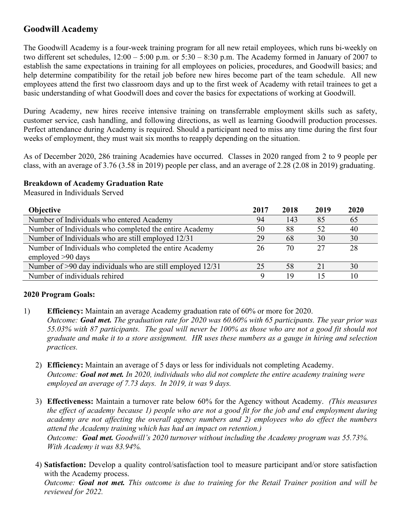## **Goodwill Academy**

The Goodwill Academy is a four-week training program for all new retail employees, which runs bi-weekly on two different set schedules, 12:00 – 5:00 p.m. or 5:30 – 8:30 p.m. The Academy formed in January of 2007 to establish the same expectations in training for all employees on policies, procedures, and Goodwill basics; and help determine compatibility for the retail job before new hires become part of the team schedule. All new employees attend the first two classroom days and up to the first week of Academy with retail trainees to get a basic understanding of what Goodwill does and cover the basics for expectations of working at Goodwill.

During Academy, new hires receive intensive training on transferrable employment skills such as safety, customer service, cash handling, and following directions, as well as learning Goodwill production processes. Perfect attendance during Academy is required. Should a participant need to miss any time during the first four weeks of employment, they must wait six months to reapply depending on the situation.

As of December 2020, 286 training Academies have occurred. Classes in 2020 ranged from 2 to 9 people per class, with an average of 3.76 (3.58 in 2019) people per class, and an average of 2.28 (2.08 in 2019) graduating.

## **Breakdown of Academy Graduation Rate**

Measured in Individuals Served

| <b>Objective</b>                                           | 2017 | 2018 | 2019 | 2020 |
|------------------------------------------------------------|------|------|------|------|
| Number of Individuals who entered Academy                  | 94   | 143  | 85   | 65   |
| Number of Individuals who completed the entire Academy     | 50   | 88   | 52   | 40   |
| Number of Individuals who are still employed 12/31         | 29   | 68   | 30   | 30   |
| Number of Individuals who completed the entire Academy     | 26   | 70   | 27   | 28   |
| employed $>90$ days                                        |      |      |      |      |
| Number of >90 day individuals who are still employed 12/31 | 25   | 58   | 21   | 30   |
| Number of individuals rehired                              | Q    | 19   |      | 10   |

## **2020 Program Goals:**

- 1) **Efficiency:** Maintain an average Academy graduation rate of 60% or more for 2020. *Outcome: Goal met. The graduation rate for 2020 was 60.60% with 65 participants. The year prior was 55.03% with 87 participants. The goal will never be 100% as those who are not a good fit should not graduate and make it to a store assignment. HR uses these numbers as a gauge in hiring and selection practices.*
	- 2) **Efficiency:** Maintain an average of 5 days or less for individuals not completing Academy. *Outcome: Goal not met. In 2020, individuals who did not complete the entire academy training were employed an average of 7.73 days. In 2019, it was 9 days.*
	- 3) **Effectiveness:** Maintain a turnover rate below 60% for the Agency without Academy. *(This measures the effect of academy because 1) people who are not a good fit for the job and end employment during academy are not affecting the overall agency numbers and 2) employees who do effect the numbers attend the Academy training which has had an impact on retention.) Outcome: Goal met. Goodwill's 2020 turnover without including the Academy program was 55.73%. With Academy it was 83.94%.*
	- 4) **Satisfaction:** Develop a quality control/satisfaction tool to measure participant and/or store satisfaction with the Academy process.

*Outcome: Goal not met. This outcome is due to training for the Retail Trainer position and will be reviewed for 2022.*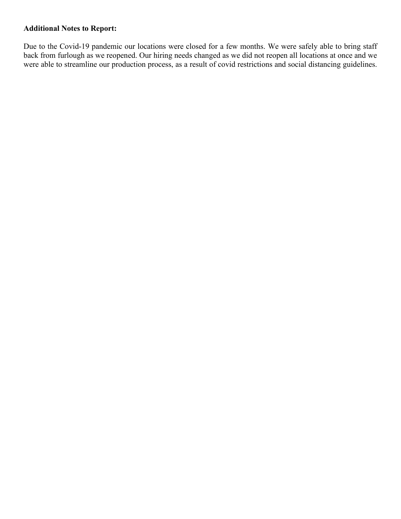## **Additional Notes to Report:**

Due to the Covid-19 pandemic our locations were closed for a few months. We were safely able to bring staff back from furlough as we reopened. Our hiring needs changed as we did not reopen all locations at once and we were able to streamline our production process, as a result of covid restrictions and social distancing guidelines.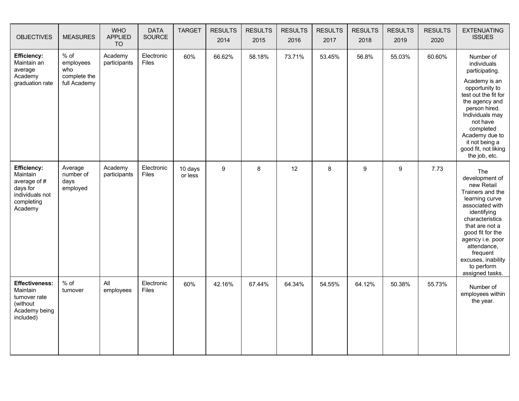| <b>OBJECTIVES</b>                                                                                      | <b>MEASURES</b>                                            | <b>WHO</b><br><b>APPLIED</b><br><b>TO</b> | <b>DATA</b><br>SOURCE | <b>TARGET</b>      | <b>RESULTS</b><br>2014 | <b>RESULTS</b><br>2015 | <b>RESULTS</b><br>2016 | <b>RESULTS</b><br>2017 | <b>RESULTS</b><br>2018 | <b>RESULTS</b><br>2019 | <b>RESULTS</b><br>2020 | <b>EXTENUATING</b><br><b>ISSUES</b>                                                                                                                                                                                                                                        |
|--------------------------------------------------------------------------------------------------------|------------------------------------------------------------|-------------------------------------------|-----------------------|--------------------|------------------------|------------------------|------------------------|------------------------|------------------------|------------------------|------------------------|----------------------------------------------------------------------------------------------------------------------------------------------------------------------------------------------------------------------------------------------------------------------------|
| <b>Efficiency:</b><br>Maintain an<br>average<br>Academy<br>graduation rate                             | $%$ of<br>employees<br>who<br>complete the<br>full Academy | Academy<br>participants                   | Electronic<br>Files   | 60%                | 66.62%                 | 58.18%                 | 73.71%                 | 53.45%                 | 56.8%                  | 55.03%                 | 60.60%                 | Number of<br>individuals<br>participating.<br>Academy is an<br>opportunity to<br>test out the fit for<br>the agency and<br>person hired.<br>Individuals may<br>not have<br>completed<br>Academy due to<br>it not being a<br>good fit, not liking<br>the job, etc.          |
| <b>Efficiency:</b><br>Maintain<br>average of #<br>days for<br>individuals not<br>completing<br>Academy | Average<br>number of<br>days<br>employed                   | Academy<br>participants                   | Electronic<br>Files   | 10 days<br>or less | 9                      | 8                      | 12                     | 8                      | 9                      | $\boldsymbol{9}$       | 7.73                   | The<br>development of<br>new Retail<br>Trainers and the<br>learning curve<br>associated with<br>identifying<br>characteristics<br>that are not a<br>good fit for the<br>agency i.e. poor<br>attendance,<br>frequent<br>excuses, inability<br>to perform<br>assigned tasks. |
| <b>Effectiveness:</b><br>Maintain<br>turnover rate<br>(without<br>Academy being<br>included)           | $%$ of<br>turnover                                         | All<br>employees                          | Electronic<br>Files   | 60%                | 42.16%                 | 67.44%                 | 64.34%                 | 54.55%                 | 64.12%                 | 50.38%                 | 55.73%                 | Number of<br>employees within<br>the year.                                                                                                                                                                                                                                 |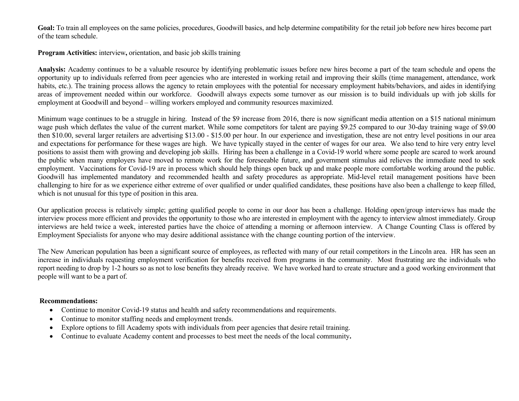Goal: To train all employees on the same policies, procedures, Goodwill basics, and help determine compatibility for the retail job before new hires become part of the team schedule.

**Program Activities:** interview**,** orientation, and basic job skills training

**Analysis:** Academy continues to be a valuable resource by identifying problematic issues before new hires become a part of the team schedule and opens the opportunity up to individuals referred from peer agencies who are interested in working retail and improving their skills (time management, attendance, work habits, etc.). The training process allows the agency to retain employees with the potential for necessary employment habits/behaviors, and aides in identifying areas of improvement needed within our workforce. Goodwill always expects some turnover as our mission is to build individuals up with job skills for employment at Goodwill and beyond – willing workers employed and community resources maximized.

Minimum wage continues to be a struggle in hiring. Instead of the \$9 increase from 2016, there is now significant media attention on a \$15 national minimum wage push which deflates the value of the current market. While some competitors for talent are paying \$9.25 compared to our 30-day training wage of \$9.00 then \$10.00, several larger retailers are advertising \$13.00 - \$15.00 per hour. In our experience and investigation, these are not entry level positions in our area and expectations for performance for these wages are high. We have typically stayed in the center of wages for our area. We also tend to hire very entry level positions to assist them with growing and developing job skills. Hiring has been a challenge in a Covid-19 world where some people are scared to work around the public when many employers have moved to remote work for the foreseeable future, and government stimulus aid relieves the immediate need to seek employment. Vaccinations for Covid-19 are in process which should help things open back up and make people more comfortable working around the public. Goodwill has implemented mandatory and recommended health and safety procedures as appropriate. Mid-level retail management positions have been challenging to hire for as we experience either extreme of over qualified or under qualified candidates, these positions have also been a challenge to keep filled, which is not unusual for this type of position in this area.

Our application process is relatively simple; getting qualified people to come in our door has been a challenge. Holding open/group interviews has made the interview process more efficient and provides the opportunity to those who are interested in employment with the agency to interview almost immediately. Group interviews are held twice a week, interested parties have the choice of attending a morning or afternoon interview. A Change Counting Class is offered by Employment Specialists for anyone who may desire additional assistance with the change counting portion of the interview.

The New American population has been a significant source of employees, as reflected with many of our retail competitors in the Lincoln area. HR has seen an increase in individuals requesting employment verification for benefits received from programs in the community. Most frustrating are the individuals who report needing to drop by 1-2 hours so as not to lose benefits they already receive. We have worked hard to create structure and a good working environment that people will want to be a part of.

#### **Recommendations:**

- Continue to monitor Covid-19 status and health and safety recommendations and requirements.
- Continue to monitor staffing needs and employment trends.
- Explore options to fill Academy spots with individuals from peer agencies that desire retail training.
- Continue to evaluate Academy content and processes to best meet the needs of the local community**.**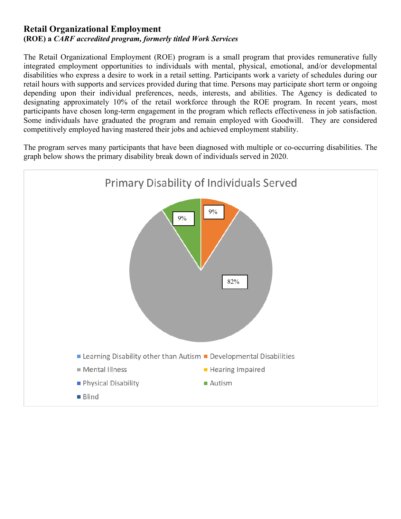## **Retail Organizational Employment (ROE) a** *CARF accredited program, formerly titled Work Services*

The Retail Organizational Employment (ROE) program is a small program that provides remunerative fully integrated employment opportunities to individuals with mental, physical, emotional, and/or developmental disabilities who express a desire to work in a retail setting. Participants work a variety of schedules during our retail hours with supports and services provided during that time. Persons may participate short term or ongoing depending upon their individual preferences, needs, interests, and abilities. The Agency is dedicated to designating approximately 10% of the retail workforce through the ROE program. In recent years, most participants have chosen long-term engagement in the program which reflects effectiveness in job satisfaction. Some individuals have graduated the program and remain employed with Goodwill. They are considered competitively employed having mastered their jobs and achieved employment stability.

The program serves many participants that have been diagnosed with multiple or co-occurring disabilities. The graph below shows the primary disability break down of individuals served in 2020.

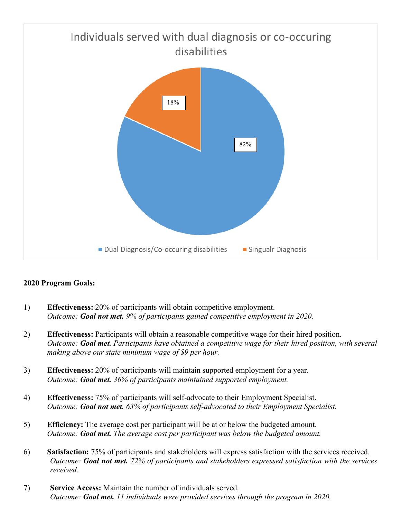

## **2020 Program Goals:**

- 1) **Effectiveness:** 20% of participants will obtain competitive employment. *Outcome: Goal not met. 9% of participants gained competitive employment in 2020.*
- 2) **Effectiveness:** Participants will obtain a reasonable competitive wage for their hired position. *Outcome: Goal met. Participants have obtained a competitive wage for their hired position, with several making above our state minimum wage of \$9 per hour.*
- 3) **Effectiveness:** 20% of participants will maintain supported employment for a year. *Outcome: Goal met. 36% of participants maintained supported employment.*
- 4) **Effectiveness:** 75% of participants will self-advocate to their Employment Specialist. *Outcome: Goal not met. 63% of participants self-advocated to their Employment Specialist.*
- 5) **Efficiency:** The average cost per participant will be at or below the budgeted amount. *Outcome: Goal met. The average cost per participant was below the budgeted amount.*
- 6) **Satisfaction:** 75% of participants and stakeholders will express satisfaction with the services received. *Outcome: Goal not met. 72% of participants and stakeholders expressed satisfaction with the services received.*
- 7) **Service Access:** Maintain the number of individuals served. *Outcome: Goal met. 11 individuals were provided services through the program in 2020.*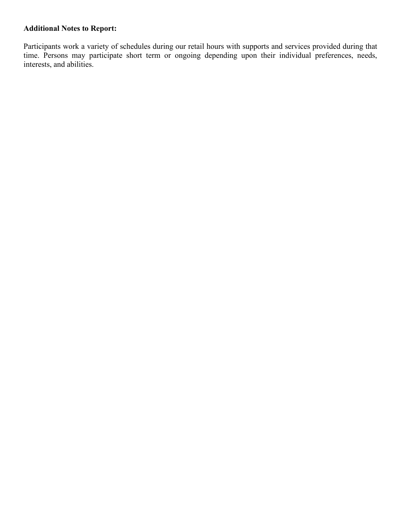## **Additional Notes to Report:**

Participants work a variety of schedules during our retail hours with supports and services provided during that time. Persons may participate short term or ongoing depending upon their individual preferences, needs, interests, and abilities.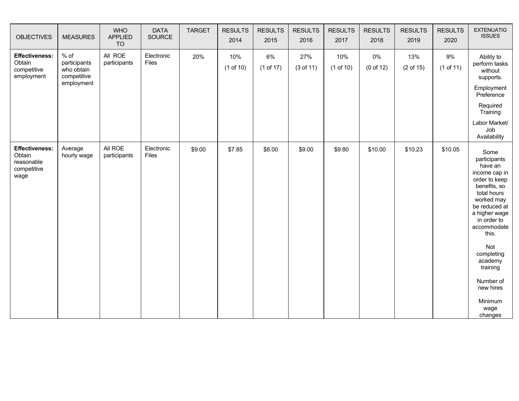| <b>OBJECTIVES</b>                                                    | <b>MEASURES</b>                                                 | <b>WHO</b><br><b>APPLIED</b><br><b>TO</b> | <b>DATA</b><br>SOURCE | <b>TARGET</b> | <b>RESULTS</b><br>2014 | <b>RESULTS</b><br>2015 | <b>RESULTS</b><br>2016 | <b>RESULTS</b><br>2017 | <b>RESULTS</b><br>2018 | <b>RESULTS</b><br>2019 | <b>RESULTS</b><br>2020 | <b>EXTENUATIG</b><br><b>ISSUES</b>                                                                                                                                                      |
|----------------------------------------------------------------------|-----------------------------------------------------------------|-------------------------------------------|-----------------------|---------------|------------------------|------------------------|------------------------|------------------------|------------------------|------------------------|------------------------|-----------------------------------------------------------------------------------------------------------------------------------------------------------------------------------------|
| <b>Effectiveness:</b><br>Obtain<br>competitive<br>employment         | % of<br>participants<br>who obtain<br>competitive<br>employment | All ROE<br>participants                   | Electronic<br>Files   | 20%           | 10%<br>(1 of 10)       | 6%<br>(1 of 17)        | 27%<br>(3 of 11)       | 10%<br>(1 of 10)       | $0\%$<br>(0 of 12)     | 13%<br>(2 of 15)       | 9%<br>(1 of 11)        | Ability to<br>perform tasks<br>without<br>supports.                                                                                                                                     |
|                                                                      |                                                                 |                                           |                       |               |                        |                        |                        |                        |                        |                        |                        | Employment<br>Preference                                                                                                                                                                |
|                                                                      |                                                                 |                                           |                       |               |                        |                        |                        |                        |                        |                        |                        | Required<br>Training                                                                                                                                                                    |
|                                                                      |                                                                 |                                           |                       |               |                        |                        |                        |                        |                        |                        |                        | Labor Market/<br>Job<br>Availability                                                                                                                                                    |
| <b>Effectiveness:</b><br>Obtain<br>reasonable<br>competitive<br>wage | Average<br>hourly wage                                          | All ROE<br>participants                   | Electronic<br>Files   | \$9.00        | \$7.85                 | \$8.00                 | \$9.00                 | \$9.80                 | \$10.00                | \$10.23                | \$10.05                | Some<br>participants<br>have an<br>income cap in<br>order to keep<br>benefits, so<br>total hours<br>worked may<br>be reduced at<br>a higher wage<br>in order to<br>accommodate<br>this. |
|                                                                      |                                                                 |                                           |                       |               |                        |                        |                        |                        |                        |                        |                        | Not<br>completing<br>academy<br>training                                                                                                                                                |
|                                                                      |                                                                 |                                           |                       |               |                        |                        |                        |                        |                        |                        |                        | Number of<br>new hires                                                                                                                                                                  |
|                                                                      |                                                                 |                                           |                       |               |                        |                        |                        |                        |                        |                        |                        | Minimum<br>wage<br>changes                                                                                                                                                              |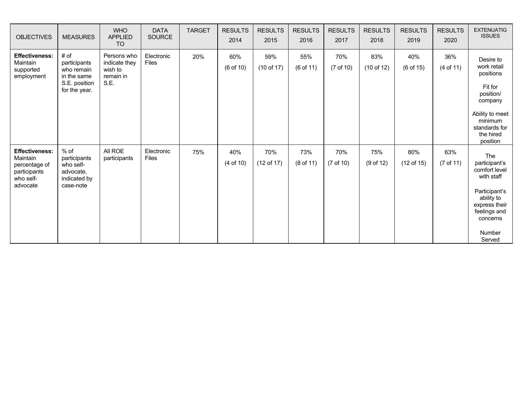| <b>OBJECTIVES</b>                                                                           | <b>MEASURES</b>                                                                     | <b>WHO</b><br><b>APPLIED</b><br><b>TO</b>                    | <b>DATA</b><br>SOURCE      | <b>TARGET</b> | <b>RESULTS</b><br>2014 | <b>RESULTS</b><br>2015 | <b>RESULTS</b><br>2016 | <b>RESULTS</b><br>2017      | <b>RESULTS</b><br>2018 | <b>RESULTS</b><br>2019 | <b>RESULTS</b><br>2020 | <b>EXTENUATIG</b><br><b>ISSUES</b>                                                                                                                  |
|---------------------------------------------------------------------------------------------|-------------------------------------------------------------------------------------|--------------------------------------------------------------|----------------------------|---------------|------------------------|------------------------|------------------------|-----------------------------|------------------------|------------------------|------------------------|-----------------------------------------------------------------------------------------------------------------------------------------------------|
| <b>Effectiveness:</b><br>Maintain<br>supported<br>employment                                | # of<br>participants<br>who remain<br>in the same<br>S.E. position<br>for the year. | Persons who<br>indicate they<br>wish to<br>remain in<br>S.E. | Electronic<br>Files        | 20%           | 60%<br>(6 of 10)       | 59%<br>$(10$ of 17)    | 55%<br>(6 of 11)       | 70%<br>$(7 \text{ of } 10)$ | 83%<br>(10 of 12)      | 40%<br>(6 of 15)       | 36%<br>(4 of 11)       | Desire to<br>work retail<br>positions<br>Fit for<br>position/<br>company<br>Ability to meet<br>minimum<br>standards for<br>the hired<br>position    |
| <b>Effectiveness:</b><br>Maintain<br>percentage of<br>participants<br>who self-<br>advocate | $%$ of<br>participants<br>who self-<br>advocate,<br>indicated by<br>case-note       | All ROE<br>participants                                      | Electronic<br><b>Files</b> | 75%           | 40%<br>(4 of 10)       | 70%<br>(12 of 17)      | 73%<br>(8 of 11)       | 70%<br>$(7 \text{ of } 10)$ | 75%<br>(9 of 12)       | 80%<br>$(12$ of $15)$  | 63%<br>(7 of 11)       | The<br>participant's<br>comfort level<br>with staff<br>Participant's<br>ability to<br>express their<br>feelings and<br>concerns<br>Number<br>Served |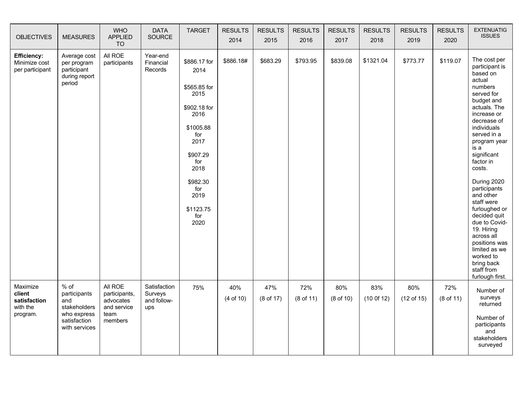| <b>OBJECTIVES</b>                                          | <b>MEASURES</b>                                                                             | <b>WHO</b><br><b>APPLIED</b><br><b>TO</b>                               | <b>DATA</b><br>SOURCE                         | <b>TARGET</b>                                                                                                                                                                      | <b>RESULTS</b><br>2014 | <b>RESULTS</b><br>2015 | <b>RESULTS</b><br>2016 | <b>RESULTS</b><br>2017 | <b>RESULTS</b><br>2018 | <b>RESULTS</b><br>2019 | <b>RESULTS</b><br>2020 | <b>EXTENUATIG</b><br><b>ISSUES</b>                                                                                                                                                                                                                                                                                                                                                                                                                                          |
|------------------------------------------------------------|---------------------------------------------------------------------------------------------|-------------------------------------------------------------------------|-----------------------------------------------|------------------------------------------------------------------------------------------------------------------------------------------------------------------------------------|------------------------|------------------------|------------------------|------------------------|------------------------|------------------------|------------------------|-----------------------------------------------------------------------------------------------------------------------------------------------------------------------------------------------------------------------------------------------------------------------------------------------------------------------------------------------------------------------------------------------------------------------------------------------------------------------------|
| <b>Efficiency:</b><br>Minimize cost<br>per participant     | Average cost<br>per program<br>participant<br>during report<br>period                       | All ROE<br>participants                                                 | Year-end<br>Financial<br>Records              | \$886.17 for<br>2014<br>\$565.85 for<br>2015<br>\$902.18 for<br>2016<br>\$1005.88<br>for<br>2017<br>\$907.29<br>for<br>2018<br>\$982.30<br>for<br>2019<br>\$1123.75<br>for<br>2020 | \$886.18#              | \$683.29               | \$793.95               | \$839.08               | \$1321.04              | \$773.77               | \$119.07               | The cost per<br>participant is<br>based on<br>actual<br>numbers<br>served for<br>budget and<br>actuals. The<br>increase or<br>decrease of<br>individuals<br>served in a<br>program year<br>is a<br>significant<br>factor in<br>costs.<br>During 2020<br>participants<br>and other<br>staff were<br>furloughed or<br>decided quit<br>due to Covid-<br>19. Hiring<br>across all<br>positions was<br>limited as we<br>worked to<br>bring back<br>staff from<br>furlough first. |
| Maximize<br>client<br>satisfaction<br>with the<br>program. | % of<br>participants<br>and<br>stakeholders<br>who express<br>satisfaction<br>with services | All ROE<br>participants,<br>advocates<br>and service<br>team<br>members | Satisfaction<br>Surveys<br>and follow-<br>ups | 75%                                                                                                                                                                                | 40%<br>(4 of 10)       | 47%<br>(8 of 17)       | 72%<br>(8 of 11)       | 80%<br>(8 of 10)       | 83%<br>(100f12)        | 80%<br>$(12$ of $15)$  | 72%<br>(8 of 11)       | Number of<br>surveys<br>returned<br>Number of<br>participants<br>and<br>stakeholders<br>surveyed                                                                                                                                                                                                                                                                                                                                                                            |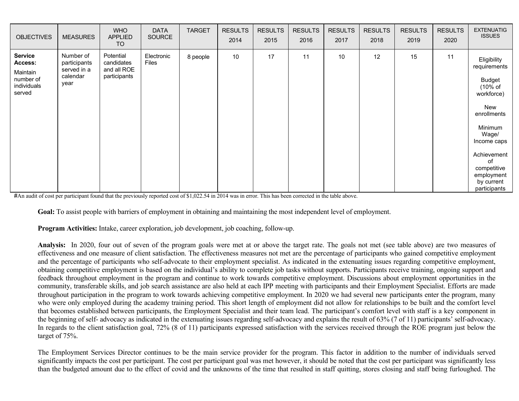| <b>OBJECTIVES</b>                     | <b>MEASURES</b>                          | <b>WHO</b><br><b>APPLIED</b><br><b>TO</b> | <b>DATA</b><br><b>SOURCE</b> | <b>TARGET</b> | <b>RESULTS</b><br>2014 | <b>RESULTS</b><br>2015 | <b>RESULTS</b><br>2016 | <b>RESULTS</b><br>2017 | <b>RESULTS</b><br>2018 | <b>RESULTS</b><br>2019 | <b>RESULTS</b><br>2020 | <b>EXTENUATIG</b><br><b>ISSUES</b>                                           |
|---------------------------------------|------------------------------------------|-------------------------------------------|------------------------------|---------------|------------------------|------------------------|------------------------|------------------------|------------------------|------------------------|------------------------|------------------------------------------------------------------------------|
| <b>Service</b><br>Access:<br>Maintain | Number of<br>participants<br>served in a | Potential<br>candidates<br>and all ROE    | Electronic<br>Files          | 8 people      | 10                     | 17                     | 11                     | 10                     | 12                     | 15                     | 11                     | Eligibility<br>requirements                                                  |
| number of<br>individuals<br>served    | calendar<br>year                         | participants                              |                              |               |                        |                        |                        |                        |                        |                        |                        | <b>Budget</b><br>(10% of<br>workforce)                                       |
|                                       |                                          |                                           |                              |               |                        |                        |                        |                        |                        |                        |                        | New<br>enrollments                                                           |
|                                       |                                          |                                           |                              |               |                        |                        |                        |                        |                        |                        |                        | Minimum<br>Wage/<br>Income caps                                              |
|                                       |                                          |                                           |                              |               |                        |                        |                        |                        |                        |                        |                        | Achievement<br>of<br>competitive<br>employment<br>by current<br>participants |

#An audit of cost per participant found that the previously reported cost of \$1,022.54 in 2014 was in error. This has been corrected in the table above.

**Goal:** To assist people with barriers of employment in obtaining and maintaining the most independent level of employment.

**Program Activities:** Intake, career exploration, job development, job coaching, follow-up.

**Analysis:** In 2020, four out of seven of the program goals were met at or above the target rate. The goals not met (see table above) are two measures of effectiveness and one measure of client satisfaction. The effectiveness measures not met are the percentage of participants who gained competitive employment and the percentage of participants who self-advocate to their employment specialist. As indicated in the extenuating issues regarding competitive employment, obtaining competitive employment is based on the individual's ability to complete job tasks without supports. Participants receive training, ongoing support and feedback throughout employment in the program and continue to work towards competitive employment. Discussions about employment opportunities in the community, transferable skills, and job search assistance are also held at each IPP meeting with participants and their Employment Specialist. Efforts are made throughout participation in the program to work towards achieving competitive employment. In 2020 we had several new participants enter the program, many who were only employed during the academy training period. This short length of employment did not allow for relationships to be built and the comfort level that becomes established between participants, the Employment Specialist and their team lead. The participant's comfort level with staff is a key component in the beginning of self- advocacy as indicated in the extenuating issues regarding self-advocacy and explains the result of 63% (7 of 11) participants' self-advocacy. In regards to the client satisfaction goal, 72% (8 of 11) participants expressed satisfaction with the services received through the ROE program just below the target of 75%.

The Employment Services Director continues to be the main service provider for the program. This factor in addition to the number of individuals served significantly impacts the cost per participant. The cost per participant goal was met however, it should be noted that the cost per participant was significantly less than the budgeted amount due to the effect of covid and the unknowns of the time that resulted in staff quitting, stores closing and staff being furloughed. The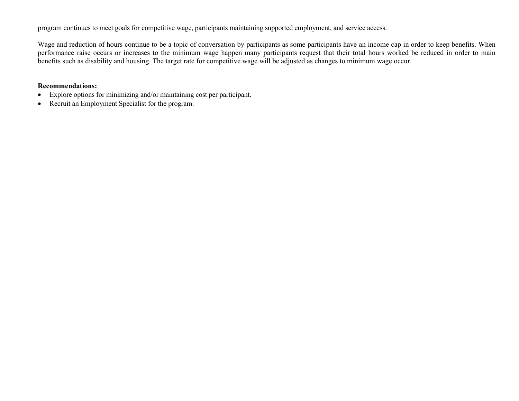program continues to meet goals for competitive wage, participants maintaining supported employment, and service access.

Wage and reduction of hours continue to be a topic of conversation by participants as some participants have an income cap in order to keep benefits. When performance raise occurs or increases to the minimum wage happen many participants request that their total hours worked be reduced in order to main benefits such as disability and housing. The target rate for competitive wage will be adjusted as changes to minimum wage occur.

#### **Recommendations:**

- Explore options for minimizing and/or maintaining cost per participant.
- Recruit an Employment Specialist for the program.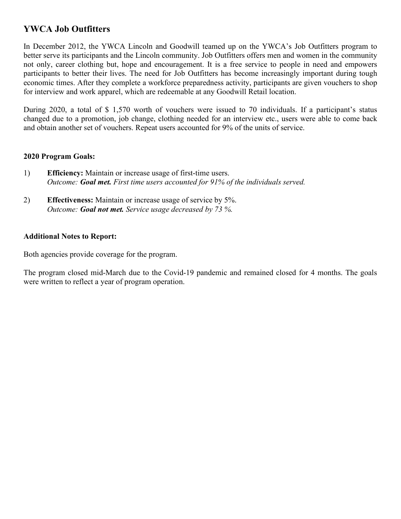## **YWCA Job Outfitters**

In December 2012, the YWCA Lincoln and Goodwill teamed up on the YWCA's Job Outfitters program to better serve its participants and the Lincoln community. Job Outfitters offers men and women in the community not only, career clothing but, hope and encouragement. It is a free service to people in need and empowers participants to better their lives. The need for Job Outfitters has become increasingly important during tough economic times. After they complete a workforce preparedness activity, participants are given vouchers to shop for interview and work apparel, which are redeemable at any Goodwill Retail location.

During 2020, a total of \$ 1,570 worth of vouchers were issued to 70 individuals. If a participant's status changed due to a promotion, job change, clothing needed for an interview etc., users were able to come back and obtain another set of vouchers. Repeat users accounted for 9% of the units of service.

## **2020 Program Goals:**

- 1) **Efficiency:** Maintain or increase usage of first-time users. *Outcome: Goal met. First time users accounted for 91% of the individuals served.*
- 2) **Effectiveness:** Maintain or increase usage of service by 5%. *Outcome: Goal not met. Service usage decreased by 73 %.*

## **Additional Notes to Report:**

Both agencies provide coverage for the program.

The program closed mid-March due to the Covid-19 pandemic and remained closed for 4 months. The goals were written to reflect a year of program operation.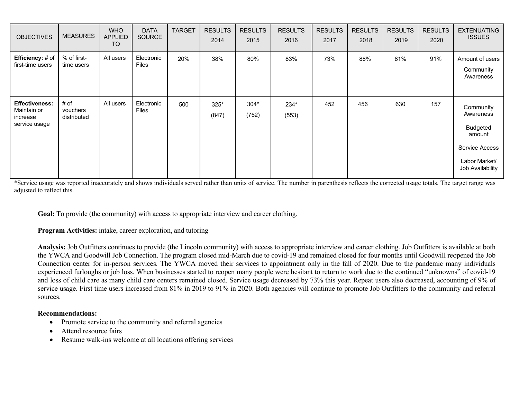| <b>OBJECTIVES</b>                                                 | <b>MEASURES</b>                 | <b>WHO</b><br><b>APPLIED</b><br>TO | <b>DATA</b><br><b>SOURCE</b> | <b>TARGET</b> | <b>RESULTS</b><br>2014 | <b>RESULTS</b><br>2015 | <b>RESULTS</b><br>2016 | <b>RESULTS</b><br>2017 | <b>RESULTS</b><br>2018 | <b>RESULTS</b><br>2019 | <b>RESULTS</b><br>2020 | <b>EXTENUATING</b><br><b>ISSUES</b>                                                                        |
|-------------------------------------------------------------------|---------------------------------|------------------------------------|------------------------------|---------------|------------------------|------------------------|------------------------|------------------------|------------------------|------------------------|------------------------|------------------------------------------------------------------------------------------------------------|
| Efficiency: # of<br>first-time users                              | % of first-<br>time users       | All users                          | Electronic<br><b>Files</b>   | 20%           | 38%                    | 80%                    | 83%                    | 73%                    | 88%                    | 81%                    | 91%                    | Amount of users<br>Community<br>Awareness                                                                  |
| <b>Effectiveness:</b><br>Maintain or<br>increase<br>service usage | # of<br>vouchers<br>distributed | All users                          | Electronic<br><b>Files</b>   | 500           | 325*<br>(847)          | $304*$<br>(752)        | $234*$<br>(553)        | 452                    | 456                    | 630                    | 157                    | Community<br>Awareness<br><b>Budgeted</b><br>amount<br>Service Access<br>Labor Market/<br>Job Availability |

\*Service usage was reported inaccurately and shows individuals served rather than units of service. The number in parenthesis reflects the corrected usage totals. The target range was adjusted to reflect this.

**Goal:** To provide (the community) with access to appropriate interview and career clothing.

**Program Activities:** intake, career exploration, and tutoring

**Analysis:** Job Outfitters continues to provide (the Lincoln community) with access to appropriate interview and career clothing. Job Outfitters is available at both the YWCA and Goodwill Job Connection. The program closed mid-March due to covid-19 and remained closed for four months until Goodwill reopened the Job Connection center for in-person services. The YWCA moved their services to appointment only in the fall of 2020. Due to the pandemic many individuals experienced furloughs or job loss. When businesses started to reopen many people were hesitant to return to work due to the continued "unknowns" of covid-19 and loss of child care as many child care centers remained closed. Service usage decreased by 73% this year. Repeat users also decreased, accounting of 9% of service usage. First time users increased from 81% in 2019 to 91% in 2020. Both agencies will continue to promote Job Outfitters to the community and referral sources.

#### **Recommendations:**

- Promote service to the community and referral agencies
- Attend resource fairs
- Resume walk-ins welcome at all locations offering services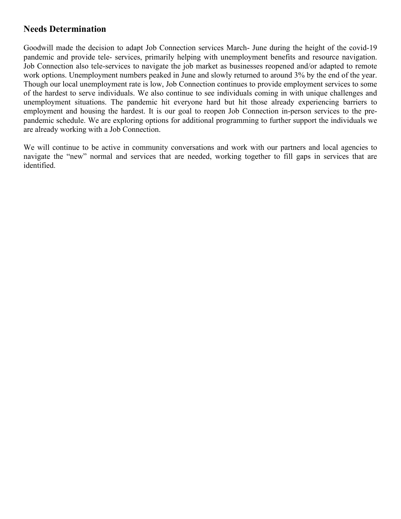## **Needs Determination**

Goodwill made the decision to adapt Job Connection services March- June during the height of the covid-19 pandemic and provide tele- services, primarily helping with unemployment benefits and resource navigation. Job Connection also tele-services to navigate the job market as businesses reopened and/or adapted to remote work options. Unemployment numbers peaked in June and slowly returned to around 3% by the end of the year. Though our local unemployment rate is low, Job Connection continues to provide employment services to some of the hardest to serve individuals. We also continue to see individuals coming in with unique challenges and unemployment situations. The pandemic hit everyone hard but hit those already experiencing barriers to employment and housing the hardest. It is our goal to reopen Job Connection in-person services to the prepandemic schedule. We are exploring options for additional programming to further support the individuals we are already working with a Job Connection.

We will continue to be active in community conversations and work with our partners and local agencies to navigate the "new" normal and services that are needed, working together to fill gaps in services that are identified.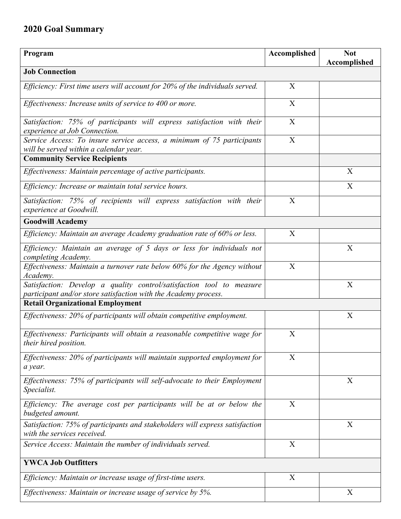## **2020 Goal Summary**

| Program                                                                                                                                 | Accomplished | <b>Not</b><br>Accomplished |
|-----------------------------------------------------------------------------------------------------------------------------------------|--------------|----------------------------|
| <b>Job Connection</b>                                                                                                                   |              |                            |
| Efficiency: First time users will account for 20% of the individuals served.                                                            | X            |                            |
| Effectiveness: Increase units of service to 400 or more.                                                                                | X            |                            |
| Satisfaction: 75% of participants will express satisfaction with their<br>experience at Job Connection.                                 | X            |                            |
| Service Access: To insure service access, a minimum of 75 participants<br>will be served within a calendar year.                        | X            |                            |
| <b>Community Service Recipients</b>                                                                                                     |              |                            |
| Effectiveness: Maintain percentage of active participants.                                                                              |              | X                          |
| Efficiency: Increase or maintain total service hours.                                                                                   |              | X                          |
| Satisfaction: 75% of recipients will express satisfaction with their<br>experience at Goodwill.                                         | X            |                            |
| <b>Goodwill Academy</b>                                                                                                                 |              |                            |
| Efficiency: Maintain an average Academy graduation rate of 60% or less.                                                                 | X            |                            |
| Efficiency: Maintain an average of 5 days or less for individuals not<br>completing Academy.                                            |              | X                          |
| Effectiveness: Maintain a turnover rate below 60% for the Agency without<br>Academy.                                                    | X            |                            |
| Satisfaction: Develop a quality control/satisfaction tool to measure<br>participant and/or store satisfaction with the Academy process. |              | X                          |
| <b>Retail Organizational Employment</b>                                                                                                 |              |                            |
| Effectiveness: 20% of participants will obtain competitive employment.                                                                  |              | X                          |
| Effectiveness: Participants will obtain a reasonable competitive wage for<br>their hired position.                                      | X            |                            |
| Effectiveness: 20% of participants will maintain supported employment for<br>a year.                                                    | X            |                            |
| Effectiveness: 75% of participants will self-advocate to their Employment<br>Specialist.                                                |              | X                          |
| Efficiency: The average cost per participants will be at or below the<br>budgeted amount.                                               | X            |                            |
| Satisfaction: 75% of participants and stakeholders will express satisfaction<br>with the services received.                             |              | X                          |
| Service Access: Maintain the number of individuals served.                                                                              | X            |                            |
| <b>YWCA Job Outfitters</b>                                                                                                              |              |                            |
| Efficiency: Maintain or increase usage of first-time users.                                                                             | X            |                            |
| Effectiveness: Maintain or increase usage of service by 5%.                                                                             |              | X                          |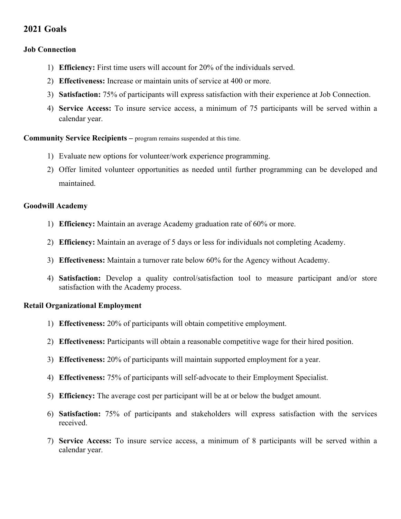## **2021 Goals**

#### **Job Connection**

- 1) **Efficiency:** First time users will account for 20% of the individuals served.
- 2) **Effectiveness:** Increase or maintain units of service at 400 or more.
- 3) **Satisfaction:** 75% of participants will express satisfaction with their experience at Job Connection.
- 4) **Service Access:** To insure service access, a minimum of 75 participants will be served within a calendar year.

**Community Service Recipients –** program remains suspended at this time.

- 1) Evaluate new options for volunteer/work experience programming.
- 2) Offer limited volunteer opportunities as needed until further programming can be developed and maintained.

#### **Goodwill Academy**

- 1) **Efficiency:** Maintain an average Academy graduation rate of 60% or more.
- 2) **Efficiency:** Maintain an average of 5 days or less for individuals not completing Academy.
- 3) **Effectiveness:** Maintain a turnover rate below 60% for the Agency without Academy.
- 4) **Satisfaction:** Develop a quality control/satisfaction tool to measure participant and/or store satisfaction with the Academy process.

#### **Retail Organizational Employment**

- 1) **Effectiveness:** 20% of participants will obtain competitive employment.
- 2) **Effectiveness:** Participants will obtain a reasonable competitive wage for their hired position.
- 3) **Effectiveness:** 20% of participants will maintain supported employment for a year.
- 4) **Effectiveness:** 75% of participants will self-advocate to their Employment Specialist.
- 5) **Efficiency:** The average cost per participant will be at or below the budget amount.
- 6) **Satisfaction:** 75% of participants and stakeholders will express satisfaction with the services received.
- 7) **Service Access:** To insure service access, a minimum of 8 participants will be served within a calendar year.